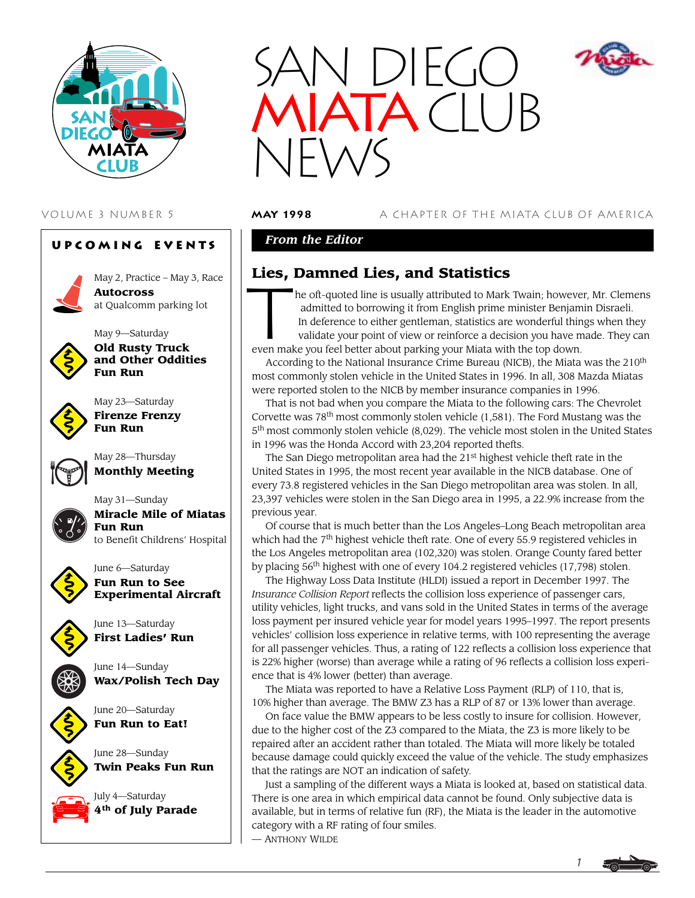

# **Upcoming Events**



May 2, Practice – May 3, Race **Autocross** at Qualcomm parking lot



May 9—Saturday **Old Rusty Truck and Other Oddities Fun Run**



May 23—Saturday **Firenze Frenzy Fun Run**



May 28—Thursday **Monthly Meeting**

May 31—Sunday

June 6—Saturday **Fun Run to See Experimental Aircraft**



**Miracle Mile of Miatas Fun Run** to Benefit Childrens' Hospital





June 13—Saturday **First Ladies' Run**

**Wax/Polish Tech Day**



June 20—Saturday **Fun Run to Eat!**

June 14—Sunday

June 28—Sunday **Twin Peaks Fun Run**





VOLUME 3 NUMBER 5 **may 1998** A CHAPTER OF THE MIATA CLUB OF AMERICA

# *From the Editor*

**Lies, Damned Lies, and Statistics**<br>he oft-quoted line is usually attributed to Mark<br>admitted to borrowing it from English prime in<br>In deference to either gentleman, statistics are<br>validate your point of view or reinforce he oft-quoted line is usually attributed to Mark Twain; however, Mr. Clemens admitted to borrowing it from English prime minister Benjamin Disraeli. In deference to either gentleman, statistics are wonderful things when they validate your point of view or reinforce a decision you have made. They can even make you feel better about parking your Miata with the top down.

According to the National Insurance Crime Bureau (NICB), the Miata was the 210<sup>th</sup> most commonly stolen vehicle in the United States in 1996. In all, 308 Mazda Miatas were reported stolen to the NICB by member insurance companies in 1996.

That is not bad when you compare the Miata to the following cars: The Chevrolet Corvette was 78<sup>th</sup> most commonly stolen vehicle (1,581). The Ford Mustang was the  $5<sup>th</sup>$  most commonly stolen vehicle (8,029). The vehicle most stolen in the United States in 1996 was the Honda Accord with 23,204 reported thefts.

The San Diego metropolitan area had the  $21<sup>st</sup>$  highest vehicle theft rate in the United States in 1995, the most recent year available in the NICB database. One of every 73.8 registered vehicles in the San Diego metropolitan area was stolen. In all, 23,397 vehicles were stolen in the San Diego area in 1995, a 22.9% increase from the previous year.

Of course that is much better than the Los Angeles–Long Beach metropolitan area which had the  $7<sup>th</sup>$  highest vehicle theft rate. One of every 55.9 registered vehicles in the Los Angeles metropolitan area (102,320) was stolen. Orange County fared better by placing 56<sup>th</sup> highest with one of every 104.2 registered vehicles (17,798) stolen.

The Highway Loss Data Institute (HLDI) issued a report in December 1997. The *Insurance Collision Report* reflects the collision loss experience of passenger cars, utility vehicles, light trucks, and vans sold in the United States in terms of the average loss payment per insured vehicle year for model years 1995–1997. The report presents vehicles' collision loss experience in relative terms, with 100 representing the average for all passenger vehicles. Thus, a rating of 122 reflects a collision loss experience that is 22% higher (worse) than average while a rating of 96 reflects a collision loss experience that is 4% lower (better) than average.

The Miata was reported to have a Relative Loss Payment (RLP) of 110, that is, 10% higher than average. The BMW Z3 has a RLP of 87 or 13% lower than average.

On face value the BMW appears to be less costly to insure for collision. However, due to the higher cost of the Z3 compared to the Miata, the Z3 is more likely to be repaired after an accident rather than totaled. The Miata will more likely be totaled because damage could quickly exceed the value of the vehicle. The study emphasizes that the ratings are NOT an indication of safety.

Just a sampling of the different ways a Miata is looked at, based on statistical data. There is one area in which empirical data cannot be found. Only subjective data is available, but in terms of relative fun (RF), the Miata is the leader in the automotive category with a RF rating of four smiles. — ANTHONY WILDE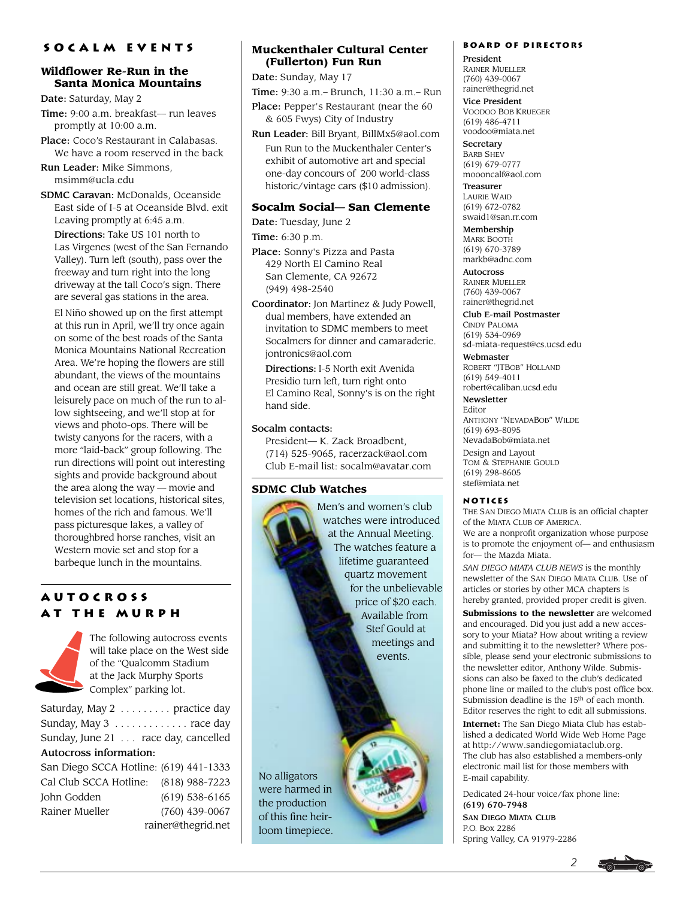## **Socalm events**

## **Wildflower Re-Run in the Santa Monica Mountains**

Date: Saturday, May 2

Time: 9:00 a.m. breakfast— run leaves promptly at 10:00 a.m.

Place: Coco's Restaurant in Calabasas. We have a room reserved in the back

Run Leader: Mike Simmons, msimm@ucla.edu

SDMC Caravan: McDonalds, Oceanside East side of I-5 at Oceanside Blvd. exit Leaving promptly at 6:45 a.m.

Directions: Take US 101 north to Las Virgenes (west of the San Fernando Valley). Turn left (south), pass over the freeway and turn right into the long driveway at the tall Coco's sign. There are several gas stations in the area.

El Niño showed up on the first attempt at this run in April, we'll try once again on some of the best roads of the Santa Monica Mountains National Recreation Area. We're hoping the flowers are still abundant, the views of the mountains and ocean are still great. We'll take a leisurely pace on much of the run to allow sightseeing, and we'll stop at for views and photo-ops. There will be twisty canyons for the racers, with a more "laid-back" group following. The run directions will point out interesting sights and provide background about the area along the way — movie and television set locations, historical sites, homes of the rich and famous. We'll pass picturesque lakes, a valley of thoroughbred horse ranches, visit an Western movie set and stop for a barbeque lunch in the mountains.

# **Autocross at the Murph**



The following autocross events will take place on the West side of the "Qualcomm Stadium at the Jack Murphy Sports Complex" parking lot.

Saturday, May 2 . . . . . . . . . practice day Sunday, May 3 . . . . . . . . . . . . . race day Sunday, June 21 . . . race day, cancelled Autocross information: San Diego SCCA Hotline: (619) 441-1333

| Cal Club SCCA Hotline: | (818) 988-7223     |
|------------------------|--------------------|
| John Godden            | $(619)$ 538-6165   |
| Rainer Mueller         | $(760)$ 439-0067   |
|                        | rainer@thegrid.net |

## **Muckenthaler Cultural Center (Fullerton) Fun Run**

Date: Sunday, May 17

Time: 9:30 a.m.– Brunch, 11:30 a.m.– Run

Place: Pepper's Restaurant (near the 60 & 605 Fwys) City of Industry

Run Leader: Bill Bryant, BillMx5@aol.com

Fun Run to the Muckenthaler Center's exhibit of automotive art and special one-day concours of 200 world-class historic/vintage cars (\$10 admission).

## **Socalm Social— San Clemente**

Date: Tuesday, June 2

Time: 6:30 p.m.

- Place: Sonny's Pizza and Pasta 429 North El Camino Real San Clemente, CA 92672 (949) 498-2540
- Coordinator: Jon Martinez & Judy Powell, dual members, have extended an invitation to SDMC members to meet Socalmers for dinner and camaraderie. jontronics@aol.com

Directions: I-5 North exit Avenida Presidio turn left, turn right onto El Camino Real, Sonny's is on the right hand side.

### Socalm contacts:

President— K. Zack Broadbent, (714) 525-9065, racerzack@aol.com Club E-mail list: socalm@avatar.com

# **SDMC Club Watches**



# **Board of Directors**

President RAINER MUELLER (760) 439-0067 rainer@thegrid.net

Vice President VOODOO BOB KRUEGER (619) 486-4711 voodoo@miata.net

**Secretary** BARB SHEV (619) 679-0777 moooncalf@aol.com

Treasurer LAURIE WAID (619) 672-0782 swaid1@san.rr.com

Membership MARK BOOTH (619) 670-3789 markb@adnc.com

**Autocross** RAINER MUELLER (760) 439-0067 rainer@thegrid.net

Club E-mail Postmaster

CINDY PALOMA (619) 534-0969 sd-miata-request@cs.ucsd.edu Webmaster

ROBERT "JTBOB" HOLLAND (619) 549-4011 robert@caliban.ucsd.edu

Newsletter Editor ANTHONY "NEVADABOB" WILDE (619) 693-8095 NevadaBob@miata.net Design and Layout TOM & STEPHANIE GOULD (619) 298-8605 stef@miata.net

# **Notices**

THE SAN DIEGO MIATA CLUB is an official chapter of the MIATA CLUB OF AMERICA. We are a nonprofit organization whose purpose is to promote the enjoyment of— and enthusiasm for— the Mazda Miata.

*SAN DIEGO MIATA CLUB NEWS* is the monthly newsletter of the SAN DIEGO MIATA CLUB. Use of articles or stories by other MCA chapters is hereby granted, provided proper credit is given.

**Submissions to the newsletter** are welcomed and encouraged. Did you just add a new accessory to your Miata? How about writing a review and submitting it to the newsletter? Where possible, please send your electronic submissions to the newsletter editor, Anthony Wilde. Submissions can also be faxed to the club's dedicated phone line or mailed to the club's post office box. Submission deadline is the 15th of each month. Editor reserves the right to edit all submissions.

**Internet:** The San Diego Miata Club has established a dedicated World Wide Web Home Page at http://www.sandiegomiataclub.org. The club has also established a members-only electronic mail list for those members with E-mail capability.

*2*

Dedicated 24-hour voice/fax phone line: (619) 670-7948

SAN DIEGO MIATA CLUB P.O. Box 2286 Spring Valley, CA 91979-2286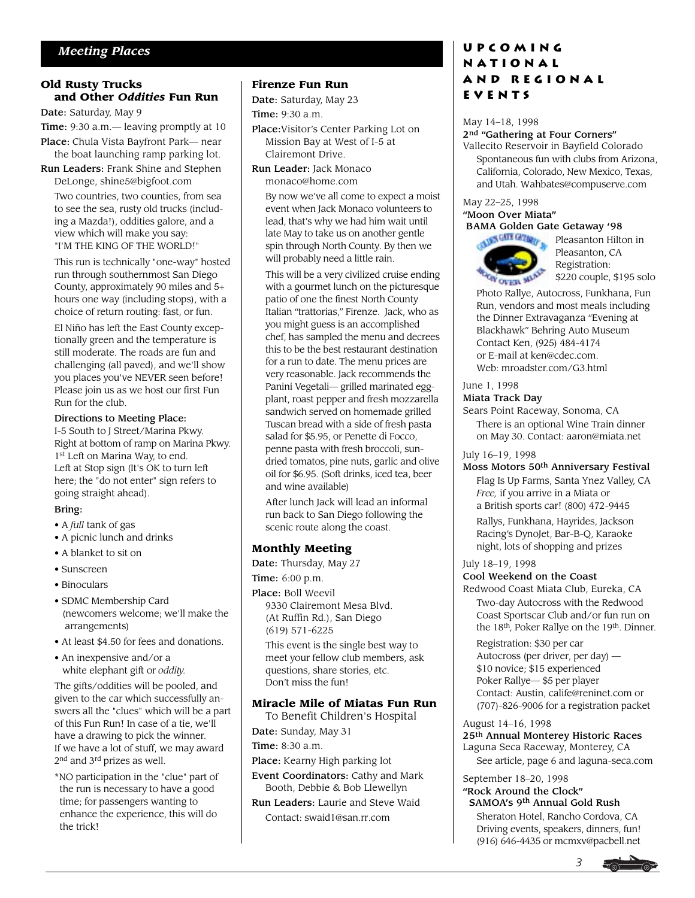# **Old Rusty Trucks and Other** *Oddities* **Fun Run**

Date: Saturday, May 9

Time: 9:30 a.m.— leaving promptly at 10

Place: Chula Vista Bayfront Park— near the boat launching ramp parking lot.

Run Leaders: Frank Shine and Stephen DeLonge, shine5@bigfoot.com

Two countries, two counties, from sea to see the sea, rusty old trucks (including a Mazda!), oddities galore, and a view which will make you say: "I'M THE KING OF THE WORLD!"

This run is technically "one-way" hosted run through southernmost San Diego County, approximately 90 miles and 5+ hours one way (including stops), with a choice of return routing: fast, or fun.

El Niño has left the East County exceptionally green and the temperature is still moderate. The roads are fun and challenging (all paved), and we'll show you places you've NEVER seen before! Please join us as we host our first Fun Run for the club.

#### Directions to Meeting Place:

I-5 South to J Street/Marina Pkwy. Right at bottom of ramp on Marina Pkwy. 1st Left on Marina Way, to end. Left at Stop sign (It's OK to turn left here; the "do not enter" sign refers to going straight ahead).

## Bring:

- A *full* tank of gas
- A picnic lunch and drinks
- A blanket to sit on
- Sunscreen
- Binoculars
- SDMC Membership Card (newcomers welcome; we'll make the arrangements)
- At least \$4.50 for fees and donations.
- An inexpensive and/or a white elephant gift or *oddity.*

The gifts/oddities will be pooled, and given to the car which successfully answers all the "clues" which will be a part of this Fun Run! In case of a tie, we'll have a drawing to pick the winner. If we have a lot of stuff, we may award 2nd and 3rd prizes as well.

\*NO participation in the "clue" part of the run is necessary to have a good time; for passengers wanting to enhance the experience, this will do the trick!

# **Firenze Fun Run**

Date: Saturday, May 23

Time: 9:30 a.m.

Place:Visitor's Center Parking Lot on Mission Bay at West of I-5 at Clairemont Drive.

Run Leader: Jack Monaco monaco@home.com

> By now we've all come to expect a moist event when Jack Monaco volunteers to lead, that's why we had him wait until late May to take us on another gentle spin through North County. By then we will probably need a little rain.

> This will be a very civilized cruise ending with a gourmet lunch on the picturesque patio of one the finest North County Italian "trattorias," Firenze. Jack, who as you might guess is an accomplished chef, has sampled the menu and decrees this to be the best restaurant destination for a run to date. The menu prices are very reasonable. Jack recommends the Panini Vegetali— grilled marinated eggplant, roast pepper and fresh mozzarella sandwich served on homemade grilled Tuscan bread with a side of fresh pasta salad for \$5.95, or Penette di Focco, penne pasta with fresh broccoli, sundried tomatos, pine nuts, garlic and olive oil for \$6.95. (Soft drinks, iced tea, beer and wine available)

After lunch Jack will lead an informal run back to San Diego following the scenic route along the coast.

## **Monthly Meeting**

Date: Thursday, May 27

Time: 6:00 p.m.

Place: Boll Weevil 9330 Clairemont Mesa Blvd. (At Ruffin Rd.), San Diego (619) 571-6225

This event is the single best way to meet your fellow club members, ask questions, share stories, etc. Don't miss the fun!

## **Miracle Mile of Miatas Fun Run**

To Benefit Children's Hospital Date: Sunday, May 31

Time: 8:30 a.m.

Place: Kearny High parking lot

Event Coordinators: Cathy and Mark Booth, Debbie & Bob Llewellyn

Run Leaders: Laurie and Steve Waid Contact: swaid1@san.rr.com

# **Upcoming National and Regional Events**

#### May 14–18, 1998

2nd "Gathering at Four Corners"

Vallecito Reservoir in Bayfield Colorado Spontaneous fun with clubs from Arizona, California, Colorado, New Mexico, Texas, and Utah. Wahbates@compuserve.com

# May 22–25, 1998 "Moon Over Miata" BAMA Golden Gate Getaway '98



Pleasanton Hilton in Pleasanton, CA Registration: \$220 couple, \$195 solo **Photo Rallye, Autocross, Funkhana, Funchistana**, Funchistana, Funchistana, Funchistana, Funchistana, Funchistana, Funchistana, Funchistana, Funchistana, Funchistana, Funchistana, Funchistana, Funchistana, Funchistana, Fun

Run, vendors and most meals including the Dinner Extravaganza "Evening at Blackhawk" Behring Auto Museum Contact Ken, (925) 484-4174 or E-mail at ken@cdec.com. Web: mroadster.com/G3.html

# June 1, 1998

#### Miata Track Day

Sears Point Raceway, Sonoma, CA There is an optional Wine Train dinner on May 30. Contact: aaron@miata.net

### July 16–19, 1998

Moss Motors 50th Anniversary Festival

Flag Is Up Farms, Santa Ynez Valley, CA *Free,* if you arrive in a Miata or

a British sports car! (800) 472-9445

Rallys, Funkhana, Hayrides, Jackson Racing's DynoJet, Bar-B-Q, Karaoke night, lots of shopping and prizes

July 18–19, 1998

#### Cool Weekend on the Coast

Redwood Coast Miata Club, Eureka, CA Two-day Autocross with the Redwood Coast Sportscar Club and/or fun run on the 18<sup>th</sup>, Poker Rallye on the 19<sup>th</sup>. Dinner.

Registration: \$30 per car Autocross (per driver, per day) — \$10 novice; \$15 experienced Poker Rallye— \$5 per player Contact: Austin, calife@reninet.com or (707)-826-9006 for a registration packet

#### August 14–16, 1998

25th Annual Monterey Historic Races Laguna Seca Raceway, Monterey, CA

See article, page 6 and laguna-seca.com

September 18–20, 1998

#### "Rock Around the Clock" SAMOA's 9th Annual Gold Rush

Sheraton Hotel, Rancho Cordova, CA Driving events, speakers, dinners, fun! (916) 646-4435 or mcmxv@pacbell.net

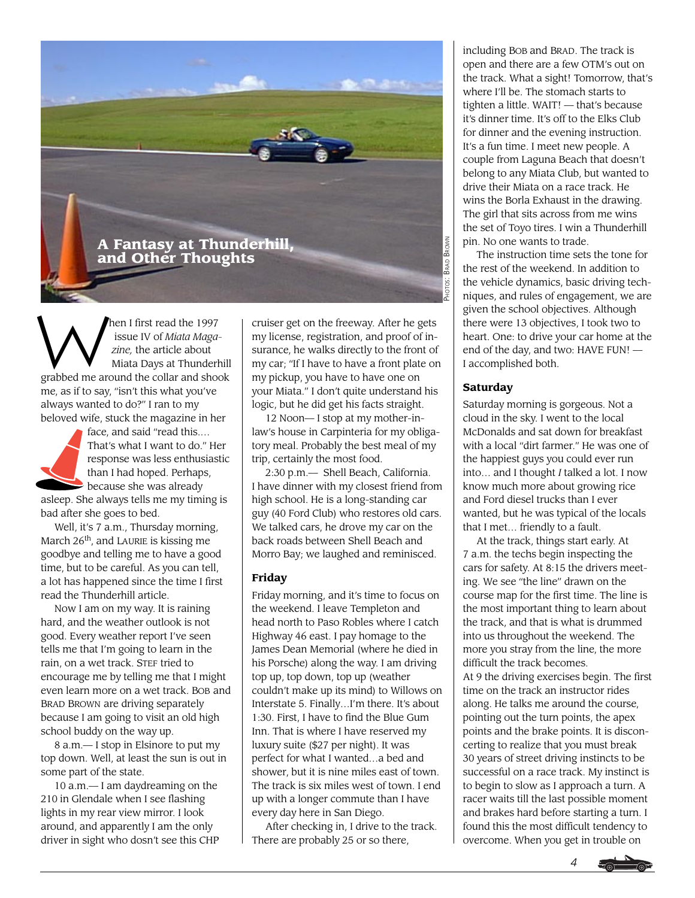

Then I first read the 1997<br>Issue IV of *Miata Maga*<br>*Zine*, the article about<br>Miata Days at Thunder issue IV of *Miata Maga zine,* the article about Miata Days at Thunderhill grabbed me around the collar and shook me, as if to say, "isn't this what you've always wanted to do?" I ran to my beloved wife, stuck the magazine in her

face, and said "read this.… That's what I want to do." Her response was less enthusiastic than I had hoped. Perhaps, because she was already asleep. She always tells me my timing is bad after she goes to bed.

Well, it's 7 a.m., Thursday morning, March 26<sup>th</sup>, and LAURIE is kissing me goodbye and telling me to have a good time, but to be careful. As you can tell, a lot has happened since the time I first read the Thunderhill article.

Now I am on my way. It is raining hard, and the weather outlook is not good. Every weather report I've seen tells me that I'm going to learn in the rain, on a wet track. STEF tried to encourage me by telling me that I might even learn more on a wet track. BOB and BRAD BROWN are driving separately because I am going to visit an old high school buddy on the way up.

8 a.m.— I stop in Elsinore to put my top down. Well, at least the sun is out in some part of the state.

10 a.m.— I am daydreaming on the 210 in Glendale when I see flashing lights in my rear view mirror. I look around, and apparently I am the only driver in sight who dosn't see this CHP cruiser get on the freeway. After he gets my license, registration, and proof of insurance, he walks directly to the front of my car; "If I have to have a front plate on my pickup, you have to have one on your Miata." I don't quite understand his logic, but he did get his facts straight.

12 Noon— I stop at my mother-inlaw's house in Carpinteria for my obligatory meal. Probably the best meal of my trip, certainly the most food.

2:30 p.m.— Shell Beach, California. I have dinner with my closest friend from high school. He is a long-standing car guy (40 Ford Club) who restores old cars. We talked cars, he drove my car on the back roads between Shell Beach and Morro Bay; we laughed and reminisced.

## **Friday**

Friday morning, and it's time to focus on the weekend. I leave Templeton and head north to Paso Robles where I catch Highway 46 east. I pay homage to the James Dean Memorial (where he died in his Porsche) along the way. I am driving top up, top down, top up (weather couldn't make up its mind) to Willows on Interstate 5. Finally…I'm there. It's about 1:30. First, I have to find the Blue Gum Inn. That is where I have reserved my luxury suite (\$27 per night). It was perfect for what I wanted…a bed and shower, but it is nine miles east of town. The track is six miles west of town. I end up with a longer commute than I have every day here in San Diego.

After checking in, I drive to the track. There are probably 25 or so there,

including BOB and BRAD. The track is open and there are a few OTM's out on the track. What a sight! Tomorrow, that's where I'll be. The stomach starts to tighten a little. WAIT! — that's because it's dinner time. It's off to the Elks Club for dinner and the evening instruction. It's a fun time. I meet new people. A couple from Laguna Beach that doesn't belong to any Miata Club, but wanted to drive their Miata on a race track. He wins the Borla Exhaust in the drawing. The girl that sits across from me wins the set of Toyo tires. I win a Thunderhill pin. No one wants to trade.

The instruction time sets the tone for the rest of the weekend. In addition to the vehicle dynamics, basic driving techniques, and rules of engagement, we are given the school objectives. Although there were 13 objectives, I took two to heart. One: to drive your car home at the end of the day, and two: HAVE FUN! — I accomplished both.

### **Saturday**

Saturday morning is gorgeous. Not a cloud in the sky. I went to the local McDonalds and sat down for breakfast with a local "dirt farmer." He was one of the happiest guys you could ever run into… and I thought *I* talked a lot. I now know much more about growing rice and Ford diesel trucks than I ever wanted, but he was typical of the locals that I met… friendly to a fault.

At the track, things start early. At 7 a.m. the techs begin inspecting the cars for safety. At 8:15 the drivers meeting. We see "the line" drawn on the course map for the first time. The line is the most important thing to learn about the track, and that is what is drummed into us throughout the weekend. The more you stray from the line, the more difficult the track becomes. At 9 the driving exercises begin. The first time on the track an instructor rides along. He talks me around the course, pointing out the turn points, the apex points and the brake points. It is disconcerting to realize that you must break 30 years of street driving instincts to be successful on a race track. My instinct is to begin to slow as I approach a turn. A racer waits till the last possible moment and brakes hard before starting a turn. I found this the most difficult tendency to overcome. When you get in trouble on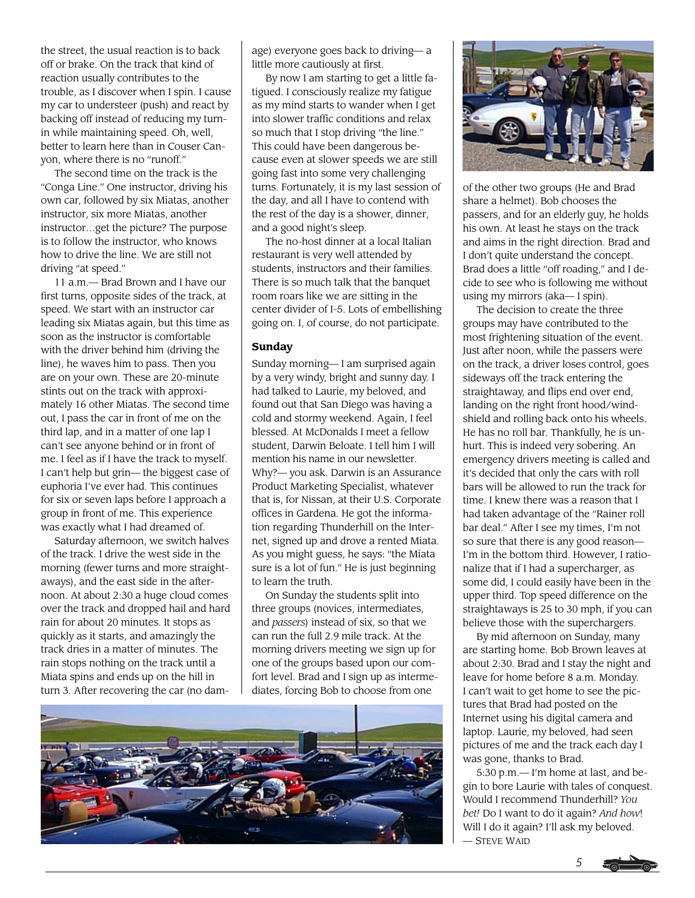the street, the usual reaction is to back off or brake. On the track that kind of reaction usually contributes to the trouble, as I discover when I spin. I cause my car to understeer (push) and react by backing off instead of reducing my turnin while maintaining speed. Oh, well, better to learn here than in Couser Canyon, where there is no "runoff."

The second time on the track is the "Conga Line." One instructor, driving his own car, followed by six Miatas, another instructor, six more Miatas, another instructor…get the picture? The purpose is to follow the instructor, who knows how to drive the line. We are still not driving "at speed."

11 a.m.— Brad Brown and I have our first turns, opposite sides of the track, at speed. We start with an instructor car leading six Miatas again, but this time as soon as the instructor is comfortable with the driver behind him (driving the line), he waves him to pass. Then you are on your own. These are 20-minute stints out on the track with approximately 16 other Miatas. The second time out, I pass the car in front of me on the third lap, and in a matter of one lap I can't see anyone behind or in front of me. I feel as if I have the track to myself. I can't help but grin— the biggest case of euphoria I've ever had. This continues for six or seven laps before I approach a group in front of me. This experience was exactly what I had dreamed of.

Saturday afternoon, we switch halves of the track. I drive the west side in the morning (fewer turns and more straightaways), and the east side in the afternoon. At about 2:30 a huge cloud comes over the track and dropped hail and hard rain for about 20 minutes. It stops as quickly as it starts, and amazingly the track dries in a matter of minutes. The rain stops nothing on the track until a Miata spins and ends up on the hill in turn 3. After recovering the car (no damage) everyone goes back to driving— a little more cautiously at first.

By now I am starting to get a little fatigued. I consciously realize my fatigue as my mind starts to wander when I get into slower traffic conditions and relax so much that I stop driving "the line." This could have been dangerous because even at slower speeds we are still going fast into some very challenging turns. Fortunately, it is my last session of the day, and all I have to contend with the rest of the day is a shower, dinner, and a good night's sleep.

The no-host dinner at a local Italian restaurant is very well attended by students, instructors and their families. There is so much talk that the banquet room roars like we are sitting in the center divider of I-5. Lots of embellishing going on. I, of course, do not participate.

#### **Sunday**

Sunday morning— I am surprised again by a very windy, bright and sunny day. I had talked to Laurie, my beloved, and found out that San Diego was having a cold and stormy weekend. Again, I feel blessed. At McDonalds I meet a fellow student, Darwin Beloate. I tell him I will mention his name in our newsletter. Why?— you ask. Darwin is an Assurance Product Marketing Specialist, whatever that is, for Nissan, at their U.S. Corporate offices in Gardena. He got the information regarding Thunderhill on the Internet, signed up and drove a rented Miata. As you might guess, he says: "the Miata sure is a lot of fun." He is just beginning to learn the truth.

On Sunday the students split into three groups (novices, intermediates, and *passers*) instead of six, so that we can run the full 2.9 mile track. At the morning drivers meeting we sign up for one of the groups based upon our comfort level. Brad and I sign up as intermediates, forcing Bob to choose from one





of the other two groups (He and Brad share a helmet). Bob chooses the passers, and for an elderly guy, he holds his own. At least he stays on the track and aims in the right direction. Brad and I don't quite understand the concept. Brad does a little "off roading," and I decide to see who is following me without using my mirrors (aka— I spin).

The decision to create the three groups may have contributed to the most frightening situation of the event. Just after noon, while the passers were on the track, a driver loses control, goes sideways off the track entering the straightaway, and flips end over end, landing on the right front hood/windshield and rolling back onto his wheels. He has no roll bar. Thankfully, he is unhurt. This is indeed very sobering. An emergency drivers meeting is called and it's decided that only the cars with roll bars will be allowed to run the track for time. I knew there was a reason that I had taken advantage of the "Rainer roll bar deal." After I see my times, I'm not so sure that there is any good reason— I'm in the bottom third. However, I rationalize that if I had a supercharger, as some did, I could easily have been in the upper third. Top speed difference on the straightaways is 25 to 30 mph, if you can believe those with the superchargers.

By mid afternoon on Sunday, many are starting home. Bob Brown leaves at about 2:30. Brad and I stay the night and leave for home before 8 a.m. Monday. I can't wait to get home to see the pictures that Brad had posted on the Internet using his digital camera and laptop. Laurie, my beloved, had seen pictures of me and the track each day I was gone, thanks to Brad.

5:30 p.m.— I'm home at last, and begin to bore Laurie with tales of conquest. Would I recommend Thunderhill? *You bet!* Do I want to do it again? *And how*! Will I do it again? I'll ask my beloved. — STEVE WAID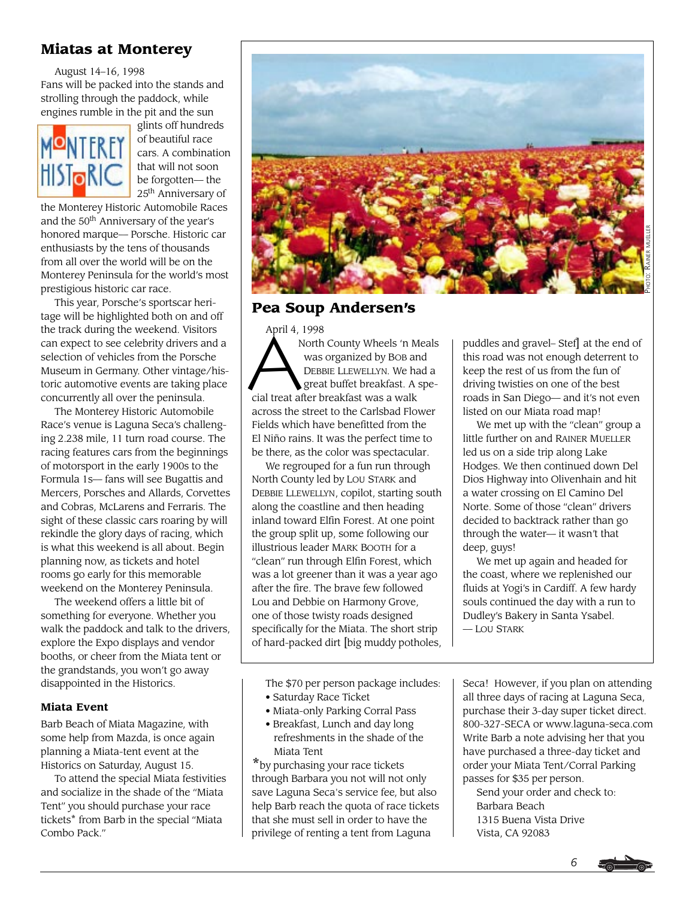# **Miatas at Monterey**

#### August 14–16, 1998

Fans will be packed into the stands and strolling through the paddock, while engines rumble in the pit and the sun



glints off hundreds of beautiful race cars. A combination that will not soon be forgotten— the 25<sup>th</sup> Anniversary of

the Monterey Historic Automobile Races and the 50th Anniversary of the year's honored marque— Porsche. Historic car enthusiasts by the tens of thousands from all over the world will be on the Monterey Peninsula for the world's most prestigious historic car race.

This year, Porsche's sportscar heritage will be highlighted both on and off the track during the weekend. Visitors can expect to see celebrity drivers and a selection of vehicles from the Porsche Museum in Germany. Other vintage/historic automotive events are taking place concurrently all over the peninsula.

The Monterey Historic Automobile Race's venue is Laguna Seca's challenging 2.238 mile, 11 turn road course. The racing features cars from the beginnings of motorsport in the early 1900s to the Formula 1s— fans will see Bugattis and Mercers, Porsches and Allards, Corvettes and Cobras, McLarens and Ferraris. The sight of these classic cars roaring by will rekindle the glory days of racing, which is what this weekend is all about. Begin planning now, as tickets and hotel rooms go early for this memorable weekend on the Monterey Peninsula.

The weekend offers a little bit of something for everyone. Whether you walk the paddock and talk to the drivers, explore the Expo displays and vendor booths, or cheer from the Miata tent or the grandstands, you won't go away disappointed in the Historics.

## **Miata Event**

Barb Beach of Miata Magazine, with some help from Mazda, is once again planning a Miata-tent event at the Historics on Saturday, August 15.

To attend the special Miata festivities and socialize in the shade of the "Miata Tent" you should purchase your race tickets\* from Barb in the special "Miata Combo Pack."



# **Pea Soup Andersen's**

April 4, 1998

 North County Wheels 'n Meals was organized by BOB and DEBBIE LLEWELLYN. We had a great buffet breakfast. A special treat after breakfast was a walk across the street to the Carlsbad Flower Fields which have benefitted from the El Niño rains. It was the perfect time to be there, as the color was spectacular. April 4, 1998<br>
North County Wheels 'n Meals<br>
Was organized by Bob and<br>
DEBBIE LLEWELLYN. We had a<br>
great buffet breakfast. A spe-<br>  $\begin{array}{|l|l|}\n\end{array}$  at the end of<br>
this road was not enough deterrent to<br>
keep the rest of

We regrouped for a fun run through North County led by LOU STARK and DEBBIE LLEWELLYN, copilot, starting south along the coastline and then heading inland toward Elfin Forest. At one point the group split up, some following our illustrious leader MARK BOOTH for a "clean" run through Elfin Forest, which was a lot greener than it was a year ago after the fire. The brave few followed Lou and Debbie on Harmony Grove, one of those twisty roads designed specifically for the Miata. The short strip of hard-packed dirt [big muddy potholes,

The \$70 per person package includes:

- Saturday Race Ticket
- Miata-only Parking Corral Pass
- Breakfast, Lunch and day long refreshments in the shade of the Miata Tent

\*by purchasing your race tickets through Barbara you not will not only save Laguna Seca's service fee, but also help Barb reach the quota of race tickets that she must sell in order to have the privilege of renting a tent from Laguna

this road was not enough deterrent to keep the rest of us from the fun of driving twisties on one of the best roads in San Diego— and it's not even listed on our Miata road map!

We met up with the "clean" group a little further on and RAINER MUELLER led us on a side trip along Lake Hodges. We then continued down Del Dios Highway into Olivenhain and hit a water crossing on El Camino Del Norte. Some of those "clean" drivers decided to backtrack rather than go through the water— it wasn't that deep, guys!

We met up again and headed for the coast, where we replenished our fluids at Yogi's in Cardiff. A few hardy souls continued the day with a run to Dudley's Bakery in Santa Ysabel. — LOU STARK

Seca! However, if you plan on attending all three days of racing at Laguna Seca, purchase their 3-day super ticket direct. 800-327-SECA or www.laguna-seca.com Write Barb a note advising her that you have purchased a three-day ticket and order your Miata Tent/Corral Parking passes for \$35 per person.

Send your order and check to: Barbara Beach 1315 Buena Vista Drive Vista, CA 92083

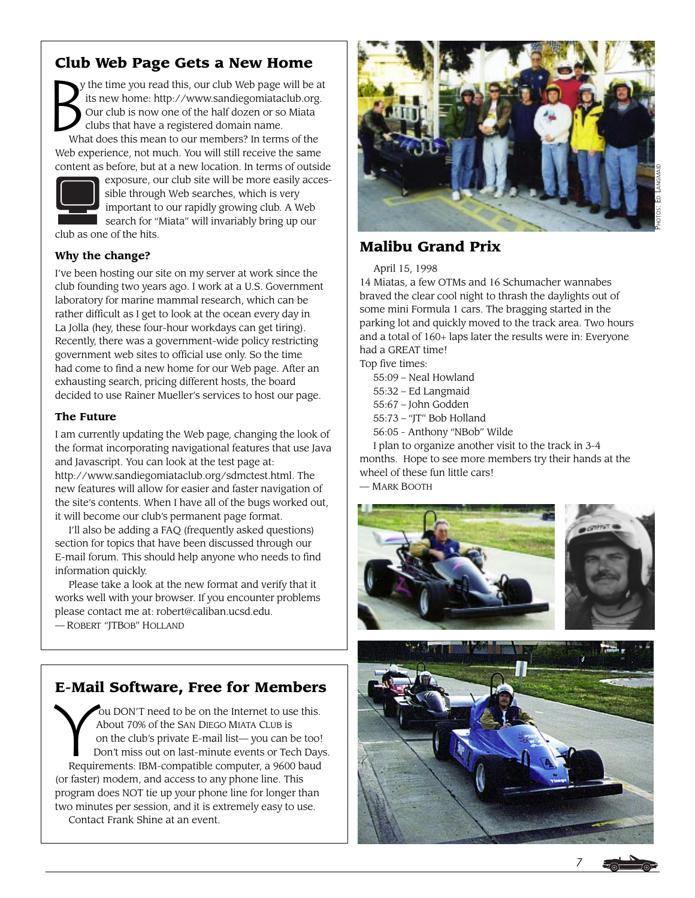# **Club Web Page Gets a New Home**

y the time you read this, our club Web page will be at its new home: http://www.sandiegomiataclub.org. Our club is now one of the half dozen or so Miata clubs that have a registered domain name. What does this mean to our members? In terms of the  $B_{\alpha}^{\nu}$ 

Web experience, not much. You will still receive the same content as before, but at a new location. In terms of outside



exposure, our club site will be more easily accessible through Web searches, which is very important to our rapidly growing club. A Web search for "Miata" will invariably bring up our club as one of the hits.

# **Why the change?**

I've been hosting our site on my server at work since the club founding two years ago. I work at a U.S. Government laboratory for marine mammal research, which can be rather difficult as I get to look at the ocean every day in La Jolla (hey, these four-hour workdays can get tiring). Recently, there was a government-wide policy restricting government web sites to official use only. So the time had come to find a new home for our Web page. After an exhausting search, pricing different hosts, the board decided to use Rainer Mueller's services to host our page.

# **The Future**

I am currently updating the Web page, changing the look of the format incorporating navigational features that use Java and Javascript. You can look at the test page at: http://www.sandiegomiataclub.org/sdmctest.html. The new features will allow for easier and faster navigation of the site's contents. When I have all of the bugs worked out, it will become our club's permanent page format.

I'll also be adding a FAQ (frequently asked questions) section for topics that have been discussed through our E-mail forum. This should help anyone who needs to find information quickly.

Please take a look at the new format and verify that it works well with your browser. If you encounter problems please contact me at: robert@caliban.ucsd.edu. — ROBERT "JTBOB" HOLLAND

**E-Mail Software, Free for Members**<br>
Nou DON'T need to be on the Internet to use this.<br>
About 70% of the SAN DIEGO MIATA CLUB is<br>
on the club's private E-mail list—you can be too!<br>
Don't miss out on last-minute events or T ou DON'T need to be on the Internet to use this. About 70% of the SAN DIEGO MIATA CLUB is on the club's private E-mail list— you can be too! Don't miss out on last-minute events or Tech Days. Requirements: IBM-compatible computer, a 9600 baud (or faster) modem, and access to any phone line. This program does NOT tie up your phone line for longer than two minutes per session, and it is extremely easy to use.

Contact Frank Shine at an event.



# **Malibu Grand Prix**

April 15, 1998

14 Miatas, a few OTMs and 16 Schumacher wannabes braved the clear cool night to thrash the daylights out of some mini Formula 1 cars. The bragging started in the parking lot and quickly moved to the track area. Two hours and a total of 160+ laps later the results were in: Everyone had a GREAT time!

Top five times:

- 55:09 Neal Howland
- 55:32 Ed Langmaid
- 55:67 John Godden
- 55:73 "JT" Bob Holland
- 56:05 Anthony "NBob" Wilde

I plan to organize another visit to the track in 3-4 months. Hope to see more members try their hands at the wheel of these fun little cars!

— MARK BOOTH







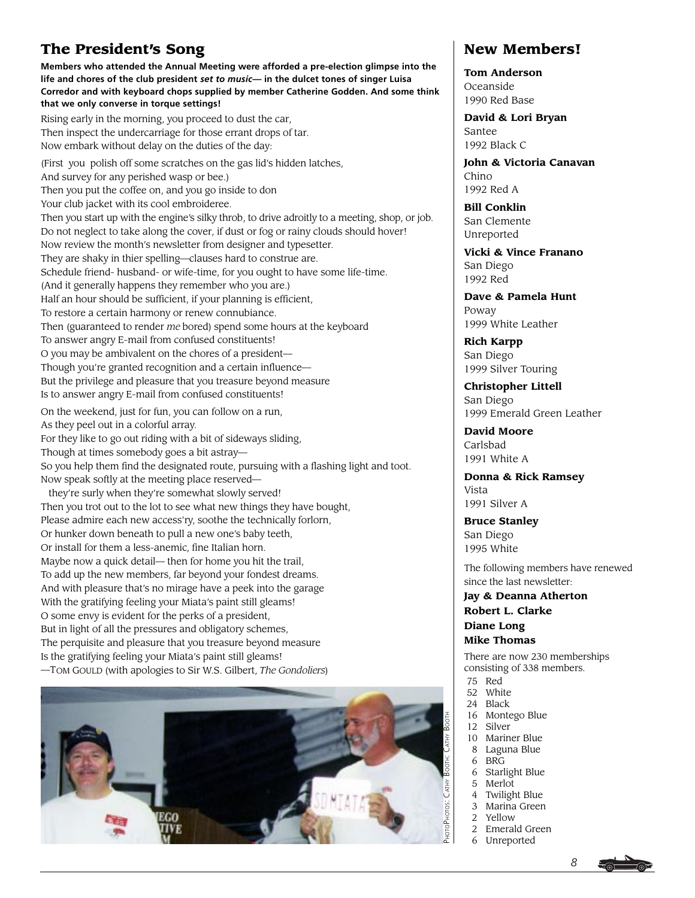# **The President's Song**

**Members who attended the Annual Meeting were afforded a pre-election glimpse into the life and chores of the club president** *set to music***— in the dulcet tones of singer Luisa Corredor and with keyboard chops supplied by member Catherine Godden. And some think that we only converse in torque settings!**

Rising early in the morning, you proceed to dust the car, Then inspect the undercarriage for those errant drops of tar. Now embark without delay on the duties of the day:

(First you polish off some scratches on the gas lid's hidden latches, And survey for any perished wasp or bee.) Then you put the coffee on, and you go inside to don Your club jacket with its cool embroideree. Then you start up with the engine's silky throb, to drive adroitly to a meeting, shop, or job. Do not neglect to take along the cover, if dust or fog or rainy clouds should hover! Now review the month's newsletter from designer and typesetter. They are shaky in thier spelling—clauses hard to construe are. Schedule friend- husband- or wife-time, for you ought to have some life-time. (And it generally happens they remember who you are.) Half an hour should be sufficient, if your planning is efficient, To restore a certain harmony or renew connubiance. Then (guaranteed to render *me* bored) spend some hours at the keyboard To answer angry E-mail from confused constituents! O you may be ambivalent on the chores of a president— Though you're granted recognition and a certain influence— But the privilege and pleasure that you treasure beyond measure Is to answer angry E-mail from confused constituents!

On the weekend, just for fun, you can follow on a run, As they peel out in a colorful array. For they like to go out riding with a bit of sideways sliding, Though at times somebody goes a bit astray— So you help them find the designated route, pursuing with a flashing light and toot. Now speak softly at the meeting place reserved—

 they're surly when they're somewhat slowly served! Then you trot out to the lot to see what new things they have bought, Please admire each new access'ry, soothe the technically forlorn, Or hunker down beneath to pull a new one's baby teeth, Or install for them a less-anemic, fine Italian horn. Maybe now a quick detail— then for home you hit the trail, To add up the new members, far beyond your fondest dreams. And with pleasure that's no mirage have a peek into the garage With the gratifying feeling your Miata's paint still gleams! O some envy is evident for the perks of a president, But in light of all the pressures and obligatory schemes, The perquisite and pleasure that you treasure beyond measure Is the gratifying feeling your Miata's paint still gleams! —TOM GOULD (with apologies to Sir W.S. Gilbert, *The Gondoliers*)



# **New Members!**

**Tom Anderson** Oceanside 1990 Red Base

**David & Lori Bryan** Santee 1992 Black C

**John & Victoria Canavan** Chino 1992 Red A

**Bill Conklin** San Clemente Unreported

**Vicki & Vince Franano** San Diego 1992 Red

**Dave & Pamela Hunt** Poway 1999 White Leather

**Rich Karpp** San Diego 1999 Silver Touring

**Christopher Littell** San Diego 1999 Emerald Green Leather

**David Moore** Carlsbad 1991 White A

**Donna & Rick Ramsey** Vista 1991 Silver A

**Bruce Stanley** San Diego 1995 White

The following members have renewed since the last newsletter:

**Jay & Deanna Atherton Robert L. Clarke**

**Diane Long**

**Mike Thomas**

There are now 230 memberships consisting of 338 members.

- 75 Red
- 52 White
- 24 Black
- 16 Montego Blue
- 12 Silver
- 10 Mariner Blue<br>8 Laguna Blue
- 8 Laguna Blue<br>6 BRG
- 6 BRG<br>6 Starl
- Starlight Blue
- 5 Merlot
- 4 Twilight Blue
- 3 Marina Green
- 2 Yellow
- 2 Emerald Green
- 6 Unreported